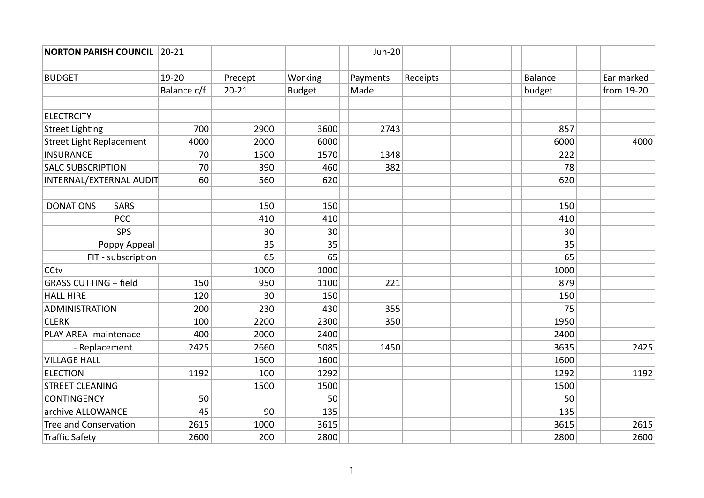| <b>NORTON PARISH COUNCIL</b>    | $ 20-21$    |           |               | <b>Jun-20</b> |          |                |            |
|---------------------------------|-------------|-----------|---------------|---------------|----------|----------------|------------|
|                                 |             |           |               |               |          |                |            |
| <b>BUDGET</b>                   | 19-20       | Precept   | Working       | Payments      | Receipts | <b>Balance</b> | Ear marked |
|                                 | Balance c/f | $20 - 21$ | <b>Budget</b> | Made          |          | budget         | from 19-20 |
|                                 |             |           |               |               |          |                |            |
| <b>ELECTRCITY</b>               |             |           |               |               |          |                |            |
| <b>Street Lighting</b>          | 700         | 2900      | 3600          | 2743          |          | 857            |            |
| <b>Street Light Replacement</b> | 4000        | 2000      | 6000          |               |          | 6000           | 4000       |
| <b>INSURANCE</b>                | 70          | 1500      | 1570          | 1348          |          | 222            |            |
| <b>SALC SUBSCRIPTION</b>        | 70          | 390       | 460           | 382           |          | 78             |            |
| INTERNAL/EXTERNAL AUDIT         | 60          | 560       | 620           |               |          | 620            |            |
|                                 |             |           |               |               |          |                |            |
| <b>DONATIONS</b><br><b>SARS</b> |             | 150       | 150           |               |          | 150            |            |
| PCC                             |             | 410       | 410           |               |          | 410            |            |
| SPS                             |             | 30        | 30            |               |          | 30             |            |
| Poppy Appeal                    |             | 35        | 35            |               |          | 35             |            |
| FIT - subscription              |             | 65        | 65            |               |          | 65             |            |
| <b>CCtv</b>                     |             | 1000      | 1000          |               |          | 1000           |            |
| <b>GRASS CUTTING + field</b>    | 150         | 950       | 1100          | 221           |          | 879            |            |
| <b>HALL HIRE</b>                | 120         | 30        | 150           |               |          | 150            |            |
| <b>ADMINISTRATION</b>           | 200         | 230       | 430           | 355           |          | 75             |            |
| <b>CLERK</b>                    | 100         | 2200      | 2300          | 350           |          | 1950           |            |
| PLAY AREA- maintenace           | 400         | 2000      | 2400          |               |          | 2400           |            |
| - Replacement                   | 2425        | 2660      | 5085          | 1450          |          | 3635           | 2425       |
| <b>VILLAGE HALL</b>             |             | 1600      | 1600          |               |          | 1600           |            |
| <b>ELECTION</b>                 | 1192        | 100       | 1292          |               |          | 1292           | 1192       |
| <b>STREET CLEANING</b>          |             | 1500      | 1500          |               |          | 1500           |            |
| <b>CONTINGENCY</b>              | 50          |           | 50            |               |          | 50             |            |
| archive ALLOWANCE               | 45          | 90        | 135           |               |          | 135            |            |
| <b>Tree and Conservation</b>    | 2615        | 1000      | 3615          |               |          | 3615           | 2615       |
| <b>Traffic Safety</b>           | 2600        | 200       | 2800          |               |          | 2800           | 2600       |